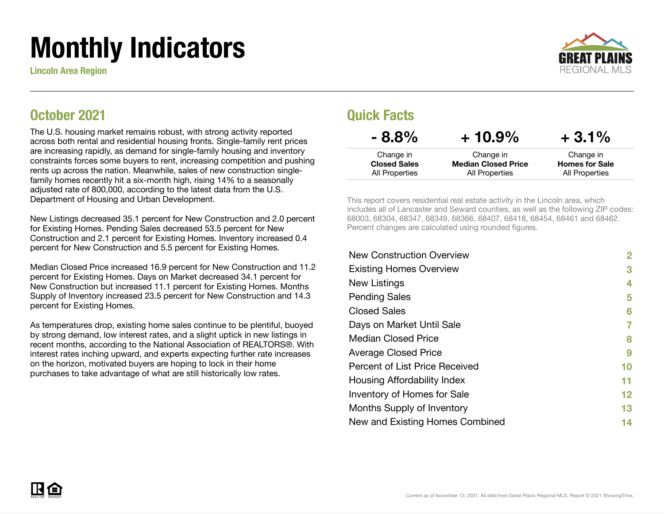# Monthly Indicators

Lincoln Area Region



### October 2021

The U.S. housing market remains robust, with strong activity reported across both rental and residential housing fronts. Single-family rent prices are increasing rapidly, as demand for single-family housing and inventory constraints forces some buyers to rent, increasing competition and pushing rents up across the nation. Meanwhile, sales of new construction singlefamily homes recently hit a six-month high, rising 14% to a seasonally adjusted rate of 800,000, according to the latest data from the U.S. Department of Housing and Urban Development.

New Listings decreased 35.1 percent for New Construction and 2.0 percent for Existing Homes. Pending Sales decreased 53.5 percent for New Construction and 2.1 percent for Existing Homes. Inventory increased 0.4 percent for New Construction and 5.5 percent for Existing Homes.

Median Closed Price increased 16.9 percent for New Construction and 11.2 percent for Existing Homes. Days on Market decreased 34.1 percent for New Construction but increased 11.1 percent for Existing Homes. Months Supply of Inventory increased 23.5 percent for New Construction and 14.3 percent for Existing Homes.

As temperatures drop, existing home sales continue to be plentiful, buoyed by strong demand, low interest rates, and a slight uptick in new listings in recent months, according to the National Association of REALTORS®. With interest rates inching upward, and experts expecting further rate increases on the horizon, motivated buyers are hoping to lock in their home purchases to take advantage of what are still historically low rates.

### Quick Facts

| $-8.8\%$            | $+10.9\%$                  | $+3.1\%$              |
|---------------------|----------------------------|-----------------------|
| Change in           | Change in                  | Change in             |
| <b>Closed Sales</b> | <b>Median Closed Price</b> | <b>Homes for Sale</b> |
| All Properties      | All Properties             | All Properties        |

This report covers residential real estate activity in the Lincoln area, which includes all of Lancaster and Seward counties, as well as the following ZIP codes: 68003, 68304, 68347, 68349, 68366, 68407, 68418, 68454, 68461 and 68462. Percent changes are calculated using rounded figures.

| <b>New Construction Overview</b> | 2  |
|----------------------------------|----|
| <b>Existing Homes Overview</b>   | 3  |
| New Listings                     | 4  |
| <b>Pending Sales</b>             | 5  |
| <b>Closed Sales</b>              | 6  |
| Days on Market Until Sale        | 7  |
| <b>Median Closed Price</b>       | 8  |
| <b>Average Closed Price</b>      | 9  |
| Percent of List Price Received   | 10 |
| Housing Affordability Index      | 11 |
| Inventory of Homes for Sale      | 12 |
| Months Supply of Inventory       | 13 |
| New and Existing Homes Combined  | 14 |
|                                  |    |

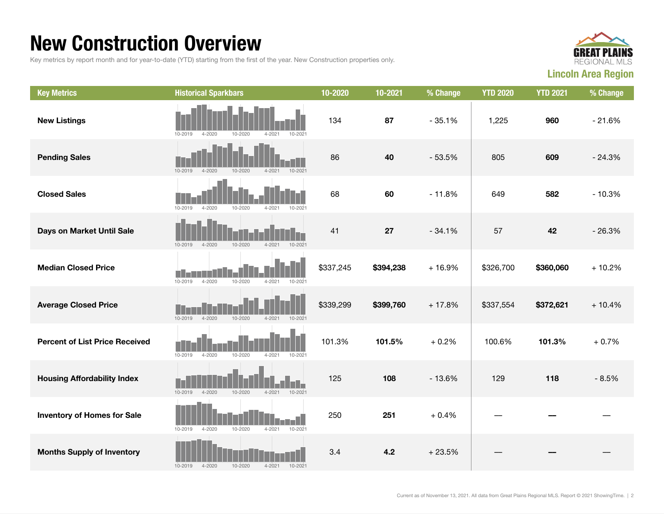### New Construction Overview

Key metrics by report month and for year-to-date (YTD) starting from the first of the year. New Construction properties only.



| <b>Key Metrics</b>                    | <b>Historical Sparkbars</b>                                          | 10-2020   | 10-2021   | % Change | <b>YTD 2020</b> | <b>YTD 2021</b> | % Change |
|---------------------------------------|----------------------------------------------------------------------|-----------|-----------|----------|-----------------|-----------------|----------|
| <b>New Listings</b>                   | 10-2019<br>10-2020<br>$4 - 202$<br>$10 - 202$<br>$4 - 2020$          | 134       | 87        | $-35.1%$ | 1,225           | 960             | $-21.6%$ |
| <b>Pending Sales</b>                  | 10-2020<br>$4 - 2021$<br>10-2021<br>10-2019<br>$4 - 2020$            | 86        | 40        | $-53.5%$ | 805             | 609             | $-24.3%$ |
| <b>Closed Sales</b>                   | $4 - 2020$<br>10-2020<br>10-2019<br>$4 - 2021$<br>$10 - 202$         | 68        | 60        | $-11.8%$ | 649             | 582             | $-10.3%$ |
| Days on Market Until Sale             | $10 - 2019$<br>$4 - 2020$<br>10-2020<br>$4 - 2021$<br>10-2021        | 41        | 27        | $-34.1%$ | 57              | 42              | $-26.3%$ |
| <b>Median Closed Price</b>            | $10 - 2019$<br>$4 - 2020$<br>10-2020<br>10-2021<br>$4 - 2021$        | \$337,245 | \$394,238 | $+16.9%$ | \$326,700       | \$360,060       | $+10.2%$ |
| <b>Average Closed Price</b>           | $10 - 2019$<br>$4 - 2020$<br>$10 - 2020$<br>$4 - 2021$<br>10-2021    | \$339,299 | \$399,760 | $+17.8%$ | \$337,554       | \$372,621       | $+10.4%$ |
| <b>Percent of List Price Received</b> | $10 - 2019$<br>$4 - 2020$<br>10-2020<br>$4 - 2021$<br>10-2021        | 101.3%    | 101.5%    | $+0.2%$  | 100.6%          | 101.3%          | $+0.7%$  |
| <b>Housing Affordability Index</b>    | $4 - 2020$<br>10-2020<br>10-2021<br>10-2019<br>$4 - 2021$            | 125       | 108       | $-13.6%$ | 129             | 118             | $-8.5%$  |
| <b>Inventory of Homes for Sale</b>    | n I<br>$10 - 2019$<br>$4 - 2020$<br>10-2020<br>$4 - 2021$<br>10-2021 | 250       | 251       | $+0.4%$  |                 |                 |          |
| <b>Months Supply of Inventory</b>     | 10-2020<br>10-2019<br>$4 - 2020$<br>$4 - 2021$<br>10-2021            | 3.4       | 4.2       | $+23.5%$ |                 |                 |          |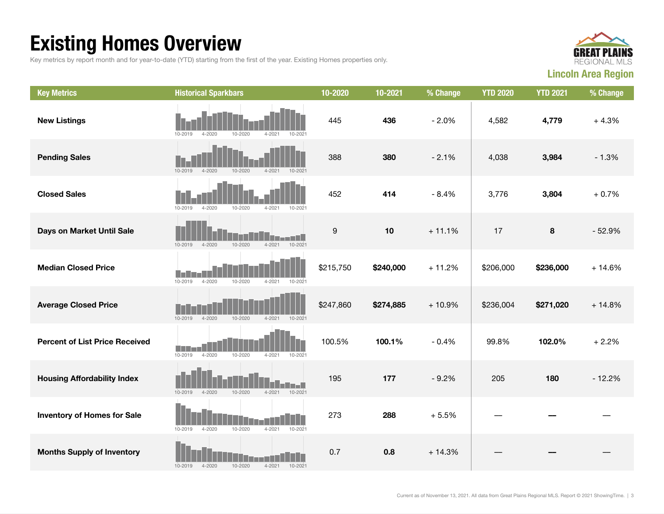## Existing Homes Overview

Key metrics by report month and for year-to-date (YTD) starting from the first of the year. Existing Homes properties only.



| <b>Key Metrics</b>                    | <b>Historical Sparkbars</b>                                           | 10-2020          | 10-2021   | % Change | <b>YTD 2020</b> | <b>YTD 2021</b> | % Change |
|---------------------------------------|-----------------------------------------------------------------------|------------------|-----------|----------|-----------------|-----------------|----------|
| <b>New Listings</b>                   | 10-2020<br>$4 - 2021$<br>10-2019<br>$4 - 2020$<br>10-2021             | 445              | 436       | $-2.0%$  | 4,582           | 4,779           | $+4.3%$  |
| <b>Pending Sales</b>                  | $10 - 2019$<br>$4 - 2020$<br>10-2020<br>$4 - 2021$<br>10-2021         | 388              | 380       | $-2.1%$  | 4,038           | 3,984           | $-1.3%$  |
| <b>Closed Sales</b>                   | 10-2019<br>$4 - 2020$<br>$4 - 2021$<br>10-2021<br>10-2020             | 452              | 414       | $-8.4%$  | 3,776           | 3,804           | $+0.7%$  |
| Days on Market Until Sale             | $4 - 2021$<br>10-2021<br>$10 - 2019$<br>$4 - 2020$<br>10-2020         | $\boldsymbol{9}$ | 10        | $+11.1%$ | 17              | 8               | $-52.9%$ |
| <b>Median Closed Price</b>            | $10 - 2019$<br>$4 - 2020$<br>10-2020<br>$4 - 2021$<br>10-2021         | \$215,750        | \$240,000 | $+11.2%$ | \$206,000       | \$236,000       | $+14.6%$ |
| <b>Average Closed Price</b>           | $10 - 2019$<br>$4 - 2020$<br>$10 - 2020$<br>$4 - 2021$<br>$10 - 2021$ | \$247,860        | \$274,885 | $+10.9%$ | \$236,004       | \$271,020       | $+14.8%$ |
| <b>Percent of List Price Received</b> | $10 - 2019$<br>$4 - 2020$<br>10-2020<br>$4 - 2021$<br>10-2021         | 100.5%           | 100.1%    | $-0.4%$  | 99.8%           | 102.0%          | $+2.2%$  |
| <b>Housing Affordability Index</b>    | $10 - 2019$<br>$4 - 2020$<br>10-2020<br>$4 - 2021$<br>10-2021         | 195              | 177       | $-9.2%$  | 205             | 180             | $-12.2%$ |
| <b>Inventory of Homes for Sale</b>    | 10-2021<br>10-2019<br>$4 - 2020$<br>10-2020<br>$4 - 2021$             | 273              | 288       | $+5.5%$  |                 |                 |          |
| <b>Months Supply of Inventory</b>     | 10-2020<br>$4 - 2021$<br>10-2019<br>$4 - 2020$<br>10-2021             | 0.7              | 0.8       | $+14.3%$ |                 |                 |          |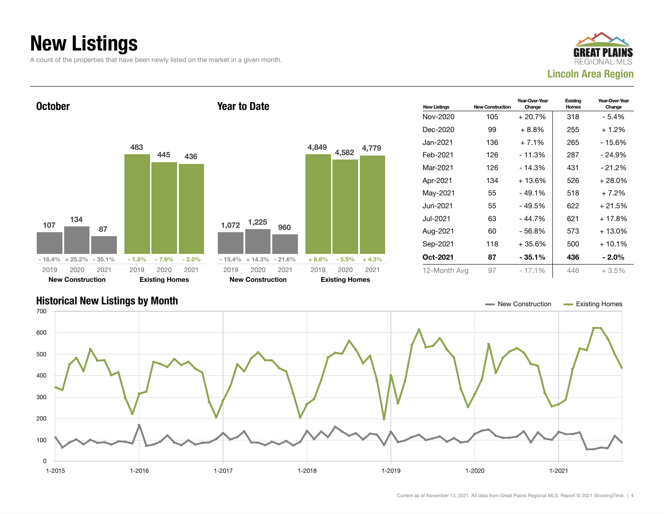### New Listings

A count of the properties that have been newly listed on the market in a given month.





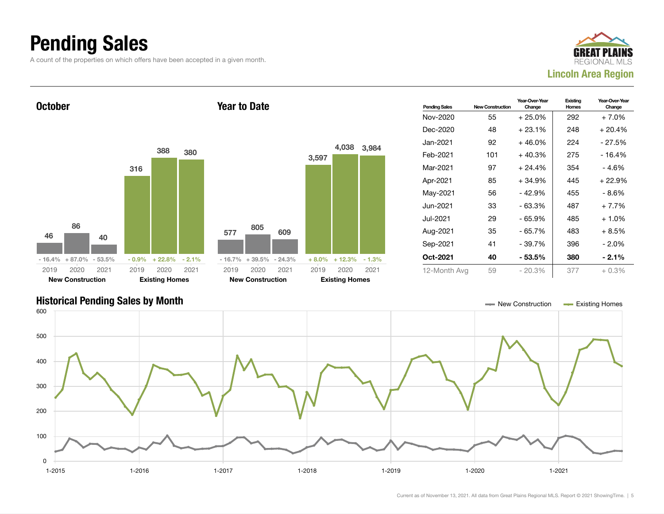### Pending Sales

A count of the properties on which offers have been accepted in a given month.





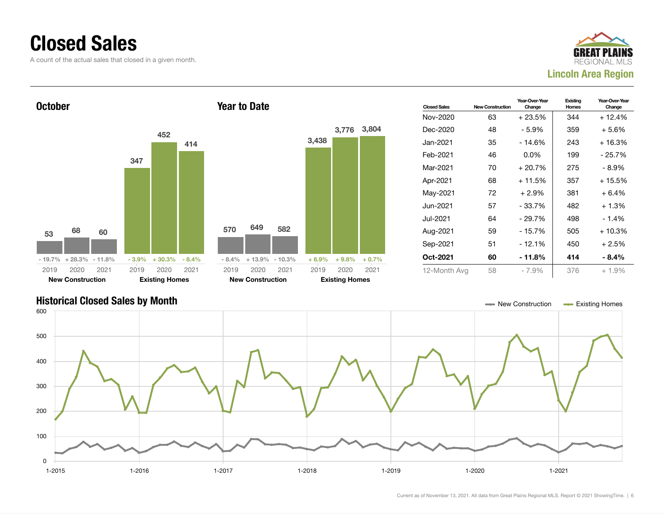### Closed Sales

A count of the actual sales that closed in a given month.





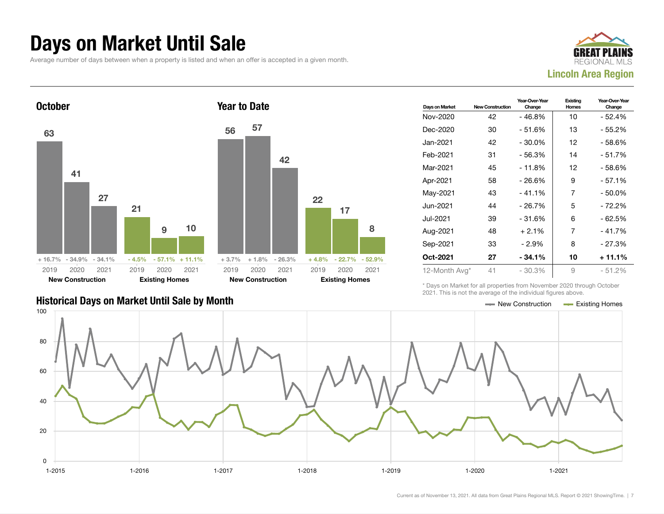### Days on Market Until Sale

Average number of days between when a property is listed and when an offer is accepted in a given month.





| Days on Market | <b>New Construction</b> | Year-Over-Year<br>Change | Existing<br>Homes | Year-Over-Year<br>Change |
|----------------|-------------------------|--------------------------|-------------------|--------------------------|
| Nov-2020       | 42                      | - 46.8%                  | 10                | $-52.4%$                 |
| Dec-2020       | 30                      | - 51.6%                  | 13                | - 55.2%                  |
| Jan-2021       | 42                      | - 30.0%                  | 12                | - 58.6%                  |
| Feb-2021       | 31                      | $-56.3%$                 | 14                | $-51.7%$                 |
| Mar-2021       | 45                      | $-11.8%$                 | 12                | - 58.6%                  |
| Apr-2021       | 58                      | $-26.6%$                 | 9                 | - 57.1%                  |
| May-2021       | 43                      | $-41.1%$                 | 7                 | $-50.0\%$                |
| Jun-2021       | 44                      | $-26.7%$                 | 5                 | $-72.2%$                 |
| Jul-2021       | 39                      | - 31.6%                  | 6                 | - 62.5%                  |
| Aug-2021       | 48                      | $+2.1%$                  | 7                 | $-41.7%$                 |
| Sep-2021       | 33                      | $-2.9%$                  | 8                 | $-27.3%$                 |
| Oct-2021       | 27                      | $-34.1%$                 | 10                | + 11.1%                  |
| 12-Month Avg*  | 41                      | $-30.3%$                 | 9                 | $-51.2%$                 |

### Historical Days on Market Until Sale by Month New York New York New York New York New York New York New York New York New York New York New York New York New York New York New York New York New York New York New York New Y

\* Days on Market for all properties from November 2020 through October 2021. This is not the average of the individual figures above.



17

8

2020 2021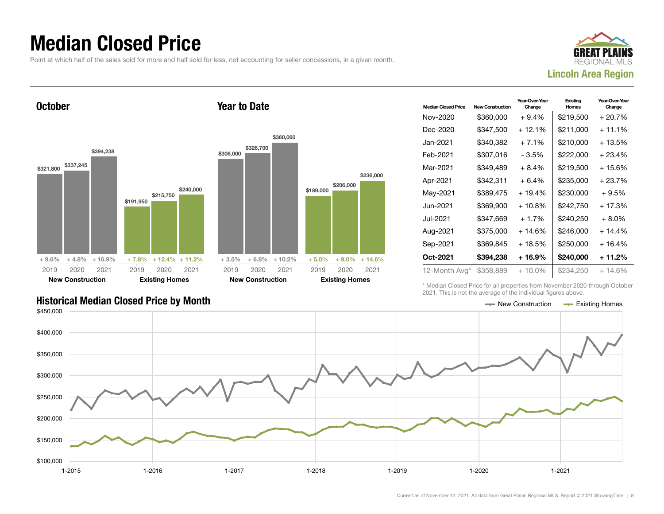### Median Closed Price

Point at which half of the sales sold for more and half sold for less, not accounting for seller concessions, in a given month.

Year to Date



**October** 





| <b>Median Closed Price</b> | <b>New Construction</b> | Year-Over-Year<br>Change | Existing<br>Homes | Year-Over-Year<br>Change |
|----------------------------|-------------------------|--------------------------|-------------------|--------------------------|
| Nov-2020                   | \$360,000               | $+9.4%$                  | \$219,500         | $+20.7%$                 |
| Dec-2020                   | \$347,500               | $+12.1%$                 | \$211,000         | $+11.1%$                 |
| Jan-2021                   | \$340,382               | $+7.1%$                  | \$210,000         | $+13.5%$                 |
| Feb-2021                   | \$307,016               | - 3.5%                   | \$222,000         | $+23.4%$                 |
| Mar-2021                   | \$349,489               | $+8.4%$                  | \$219,500         | + 15.6%                  |
| Apr-2021                   | \$342,311               | $+6.4%$                  | \$235,000         | $+23.7%$                 |
| May-2021                   | \$389,475               | + 19.4%                  | \$230,000         | $+9.5%$                  |
| Jun-2021                   | \$369,900               | $+10.8%$                 | \$242,750         | + 17.3%                  |
| Jul-2021                   | \$347,669               | $+1.7%$                  | \$240,250         | $+8.0\%$                 |
| Aug-2021                   | \$375,000               | + 14.6%                  | \$246,000         | $+14.4%$                 |
| Sep-2021                   | \$369,845               | $+18.5%$                 | \$250,000         | $+16.4%$                 |
| Oct-2021                   | \$394,238               | + 16.9%                  | \$240,000         | + 11.2%                  |
| 12-Month Avg*              | \$358,889               | $+10.0\%$                | \$234,250         | $+14.6\%$                |

Historical Median Closed Price by Month **New York Construction According Closed Price by Month** New Construction According Homes

\* Median Closed Price for all properties from November 2020 through October 2021. This is not the average of the individual figures above.

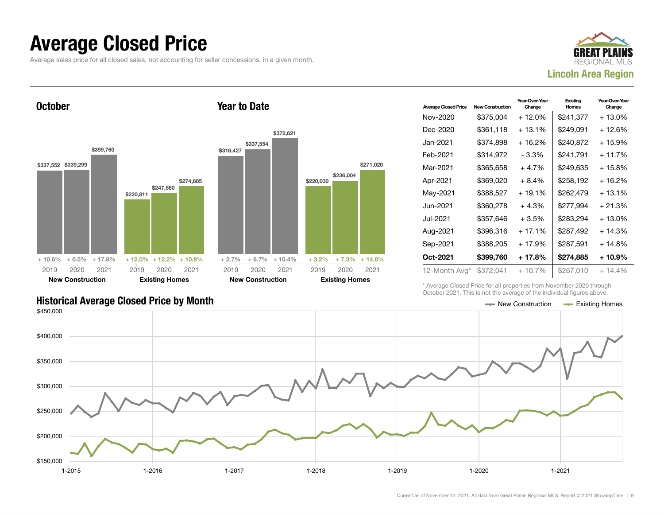### Average Closed Price

Average sales price for all closed sales, not accounting for seller concessions, in a given month.



**October** \$337,552 \$339,299 \$399,760 + 10.6% + 0.5% + 17.8% \$220,811 \$247,860 \$274,885 + 12.0% + 12.2% + 10.9% 2019 New Construction 2020 2021 2019 Existing Homes 2020 2021 Year to Date \$316,427 \$337,554 \$372,621  $+ 2.7\% + 6.7\% + 10.4\%$ \$220,030 \$236,004 \$271,020  $+3.2\%$   $+7.3\%$   $+14.8\%$ 2019 New Construction 2020 2021 2019 Existing Homes 2020 2021

| <b>Average Closed Price</b> | <b>New Construction</b> | Year-Over-Year<br>Change | Existing<br>Homes | Year-Over-Year<br>Change |
|-----------------------------|-------------------------|--------------------------|-------------------|--------------------------|
| Nov-2020                    | \$375,004               | + 12.0%                  | \$241,377         | + 13.0%                  |
| Dec-2020                    | \$361,118               | $+13.1%$                 | \$249,091         | + 12.6%                  |
| Jan-2021.                   | \$374,898               | $+16.2%$                 | \$240,872         | + 15.9%                  |
| Feb-2021                    | \$314.972               | - 3.3%                   | \$241.791         | + 11.7%                  |
| Mar-2021                    | \$365,658               | $+4.7%$                  | \$249,635         | + 15.8%                  |
| Apr-2021                    | \$369,020               | $+8.4%$                  | \$258,192         | + 16.2%                  |
| May-2021                    | \$388,527               | $+19.1%$                 | \$262,479         | + 13.1%                  |
| Jun-2021.                   | \$360.278               | $+4.3%$                  | \$277,994         | $+21.3%$                 |
| Jul-2021                    | \$357.646               | $+3.5%$                  | \$283.294         | + 13.0%                  |
| Aug-2021                    | \$396,316               | $+17.1%$                 | \$287,492         | $+14.3%$                 |
| Sep-2021                    | \$388,205               | + 17.9%                  | \$287,591         | + 14.8%                  |
| Oct-2021                    | \$399,760               | + 17.8%                  | \$274,885         | + 10.9%                  |
| 12-Month Avg*               | \$372,041               | $+10.7%$                 | \$267,010         | $+14.4%$                 |

\* Average Closed Price for all properties from November 2020 through October 2021. This is not the average of the individual figures above.

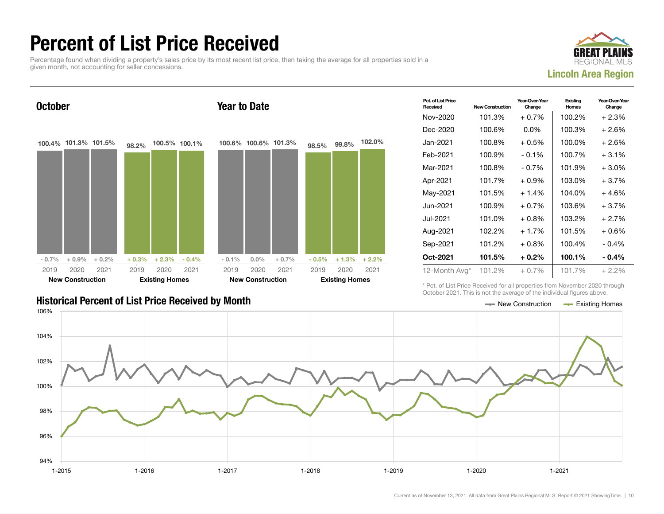### Percent of List Price Received

Percentage found when dividing a property's sales price by its most recent list price, then taking the average for all properties sold in a given month, not accounting for seller concessions.





| Pct. of List Price<br>Received | <b>New Construction</b> | Year-Over-Year<br>Change | Existing<br>Homes | Year-Over-Year<br>Change |
|--------------------------------|-------------------------|--------------------------|-------------------|--------------------------|
| Nov-2020                       | 101.3%                  | $+0.7%$                  | 100.2%            | $+2.3%$                  |
| Dec-2020                       | 100.6%                  | $0.0\%$                  | 100.3%            | $+2.6%$                  |
| Jan-2021.                      | 100.8%                  | $+0.5\%$                 | 100.0%            | $+2.6%$                  |
| Feb-2021                       | 100.9%                  | $-0.1\%$                 | 100.7%            | $+3.1%$                  |
| Mar-2021                       | 100.8%                  | $-0.7\%$                 | 101.9%            | $+3.0\%$                 |
| Apr-2021                       | 101.7%                  | $+0.9\%$                 | 103.0%            | $+3.7%$                  |
| May-2021                       | 101.5%                  | $+1.4%$                  | 104.0%            | $+4.6%$                  |
| Jun-2021.                      | 100.9%                  | $+0.7\%$                 | 103.6%            | $+3.7%$                  |
| Jul-2021.                      | 101.0%                  | $+0.8\%$                 | 103.2%            | $+2.7%$                  |
| Aug-2021                       | 102.2%                  | $+1.7%$                  | 101.5%            | + 0.6%                   |
| Sep-2021                       | 101.2%                  | $+0.8%$                  | 100.4%            | $-0.4%$                  |
| Oct-2021                       | 101.5%                  | $+0.2\%$                 | 100.1%            | $-0.4\%$                 |
| 12-Month Avg*                  | 101.2%                  | $+0.7\%$                 | 101.7%            | $+2.2\%$                 |

Historical Percent of List Price Received by Month New Construction According Homes

\* Pct. of List Price Received for all properties from November 2020 through October 2021. This is not the average of the individual figures above.

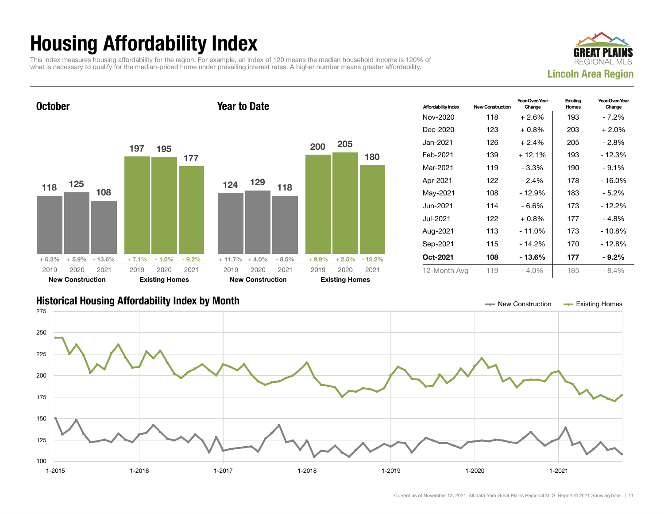## Housing Affordability Index

This index measures housing affordability for the region. For example, an index of 120 means the median household income is 120% of what is necessary to qualify for the median-priced home under prevailing interest rates. A higher number means greater affordability.



**October** 118 125 108 + 6.3% + 5.9% - 13.6% 197 195 177 + 7.1% - 1.0% - 9.2% 2019 New Construction 2020 2021 2019 Existing Homes 2020 2021 Year to Date 124 129 118  $+ 11.7\% + 4.0\% - 8.5\%$ 200 205 180 + 9.9% + 2.5% - 12.2% 2019 New Construction 2020 2021 2019 Existing Homes 2020 2021

| <b>Affordability Index</b> | <b>New Construction</b> | Year-Over-Year<br>Change | Existing<br>Homes | Year-Over-Year<br>Change |
|----------------------------|-------------------------|--------------------------|-------------------|--------------------------|
| Nov-2020                   | 118                     | $+2.6%$                  | 193               | - 7.2%                   |
| Dec-2020                   | 123                     | $+0.8\%$                 | 203               | $+2.0\%$                 |
| Jan-2021.                  | 126                     | $+2.4%$                  | 205               | - 2.8%                   |
| Feb-2021                   | 139                     | $+12.1%$                 | 193               | - 12.3%                  |
| Mar-2021                   | 119                     | - 3.3%                   | 190               | $-9.1%$                  |
| Apr-2021                   | 122                     | $-2.4%$                  | 178               | - 16.0%                  |
| May-2021                   | 108                     | $-12.9%$                 | 183               | $-5.2\%$                 |
| Jun-2021 <b>.</b>          | 114                     | - 6.6%                   | 173               | - 12.2%                  |
| Jul-2021.                  | 122                     | $+0.8\%$                 | 177               | - 4.8%                   |
| Aug-2021                   | 113                     | $-11.0%$                 | 173               | $-10.8%$                 |
| Sep-2021                   | 115                     | - 14.2%                  | 170               | - 12.8%                  |
| Oct-2021                   | 108                     | - 13.6%                  | 177               | - 9.2%                   |
| 12-Month Avg               | 119                     | $-4.0\%$                 | 185               | $-8.4%$                  |

### Historical Housing Affordability Index by Month New Construction Existing Homes

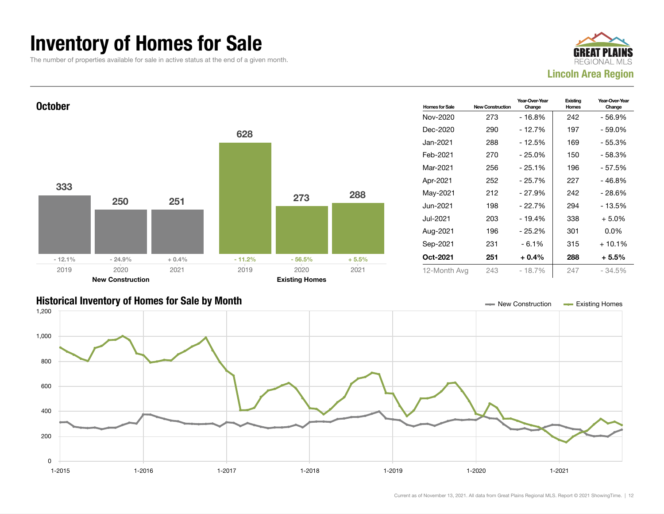### Inventory of Homes for Sale

The number of properties available for sale in active status at the end of a given month.







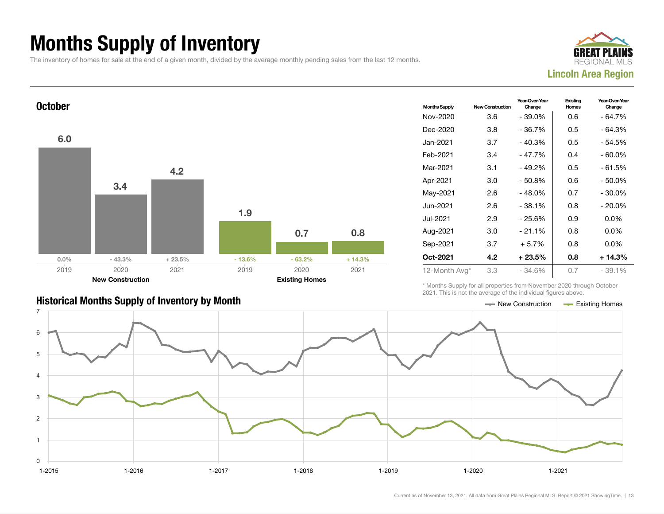## Months Supply of Inventory

The inventory of homes for sale at the end of a given month, divided by the average monthly pending sales from the last 12 months.





| <b>Historical Months Supply of Inventory by Month</b> | — New Construction | Existing Homes |
|-------------------------------------------------------|--------------------|----------------|

| <b>Months Supply</b> | <b>New Construction</b> | Year-Over-Year<br>Change | Existing<br>Homes | Year-Over-Year<br>Change |
|----------------------|-------------------------|--------------------------|-------------------|--------------------------|
| Nov-2020             | 3.6                     | - 39.0%                  | 0.6               | - 64.7%                  |
| Dec-2020             | 3.8                     | - 36.7%                  | 0.5               | - 64.3%                  |
| Jan-2021             | 3.7                     | $-40.3%$                 | 0.5               | - 54.5%                  |
| Feb-2021             | 3.4                     | $-47.7%$                 | 0.4               | $-60.0\%$                |
| Mar-2021             | 3.1                     | $-49.2%$                 | 0.5               | $-61.5%$                 |
| Apr-2021             | 3.0                     | - 50.8%                  | 0.6               | - 50.0%                  |
| May-2021             | 2.6                     | $-48.0%$                 | 0.7               | $-30.0\%$                |
| Jun-2021             | 2.6                     | $-38.1%$                 | 0.8               | $-20.0\%$                |
| Jul-2021             | 2.9                     | - 25.6%                  | 0.9               | $0.0\%$                  |
| Aug-2021             | 3.0                     | $-21.1%$                 | 0.8               | $0.0\%$                  |
| Sep-2021             | 3.7                     | $+5.7%$                  | 0.8               | $0.0\%$                  |
| Oct-2021             | 4.2                     | $+23.5\%$                | 0.8               | + 14.3%                  |
| 12-Month Avg*        | 3.3                     | $-34.6%$                 | 0.7               | $-39.1%$                 |

\* Months Supply for all properties from November 2020 through October 2021. This is not the average of the individual figures above.